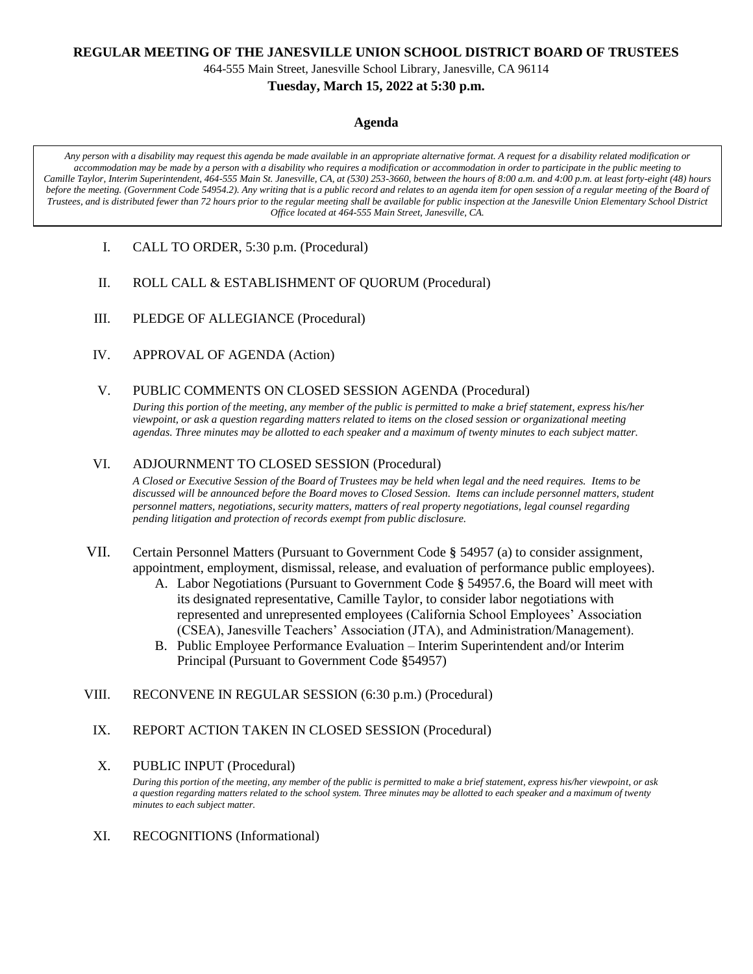#### **REGULAR MEETING OF THE JANESVILLE UNION SCHOOL DISTRICT BOARD OF TRUSTEES**

464-555 Main Street, Janesville School Library, Janesville, CA 96114

### **Tuesday, March 15, 2022 at 5:30 p.m.**

#### **Agenda**

*Any person with a disability may request this agenda be made available in an appropriate alternative format. A request for a disability related modification or accommodation may be made by a person with a disability who requires a modification or accommodation in order to participate in the public meeting to Camille Taylor, Interim Superintendent, 464-555 Main St. Janesville, CA, at (530) 253-3660, between the hours of 8:00 a.m. and 4:00 p.m. at least forty-eight (48) hours before the meeting. (Government Code 54954.2). Any writing that is a public record and relates to an agenda item for open session of a regular meeting of the Board of Trustees, and is distributed fewer than 72 hours prior to the regular meeting shall be available for public inspection at the Janesville Union Elementary School District Office located at 464-555 Main Street, Janesville, CA.*

- I. CALL TO ORDER, 5:30 p.m. (Procedural)
- II. ROLL CALL & ESTABLISHMENT OF QUORUM (Procedural)
- III. PLEDGE OF ALLEGIANCE (Procedural)
- IV. APPROVAL OF AGENDA (Action)
- V. PUBLIC COMMENTS ON CLOSED SESSION AGENDA (Procedural)

*During this portion of the meeting, any member of the public is permitted to make a brief statement, express his/her viewpoint, or ask a question regarding matters related to items on the closed session or organizational meeting agendas. Three minutes may be allotted to each speaker and a maximum of twenty minutes to each subject matter.*

## VI. ADJOURNMENT TO CLOSED SESSION (Procedural)

*A Closed or Executive Session of the Board of Trustees may be held when legal and the need requires. Items to be discussed will be announced before the Board moves to Closed Session. Items can include personnel matters, student personnel matters, negotiations, security matters, matters of real property negotiations, legal counsel regarding pending litigation and protection of records exempt from public disclosure.*

- VII. Certain Personnel Matters (Pursuant to Government Code **§** 54957 (a) to consider assignment, appointment, employment, dismissal, release, and evaluation of performance public employees).
	- A. Labor Negotiations (Pursuant to Government Code **§** 54957.6, the Board will meet with its designated representative, Camille Taylor, to consider labor negotiations with represented and unrepresented employees (California School Employees' Association (CSEA), Janesville Teachers' Association (JTA), and Administration/Management).
	- B. Public Employee Performance Evaluation Interim Superintendent and/or Interim Principal (Pursuant to Government Code **§**54957)
- VIII. RECONVENE IN REGULAR SESSION (6:30 p.m.) (Procedural)
	- IX. REPORT ACTION TAKEN IN CLOSED SESSION (Procedural)
	- X. PUBLIC INPUT (Procedural)

*During this portion of the meeting, any member of the public is permitted to make a brief statement, express his/her viewpoint, or ask a question regarding matters related to the school system. Three minutes may be allotted to each speaker and a maximum of twenty minutes to each subject matter.*

XI. RECOGNITIONS (Informational)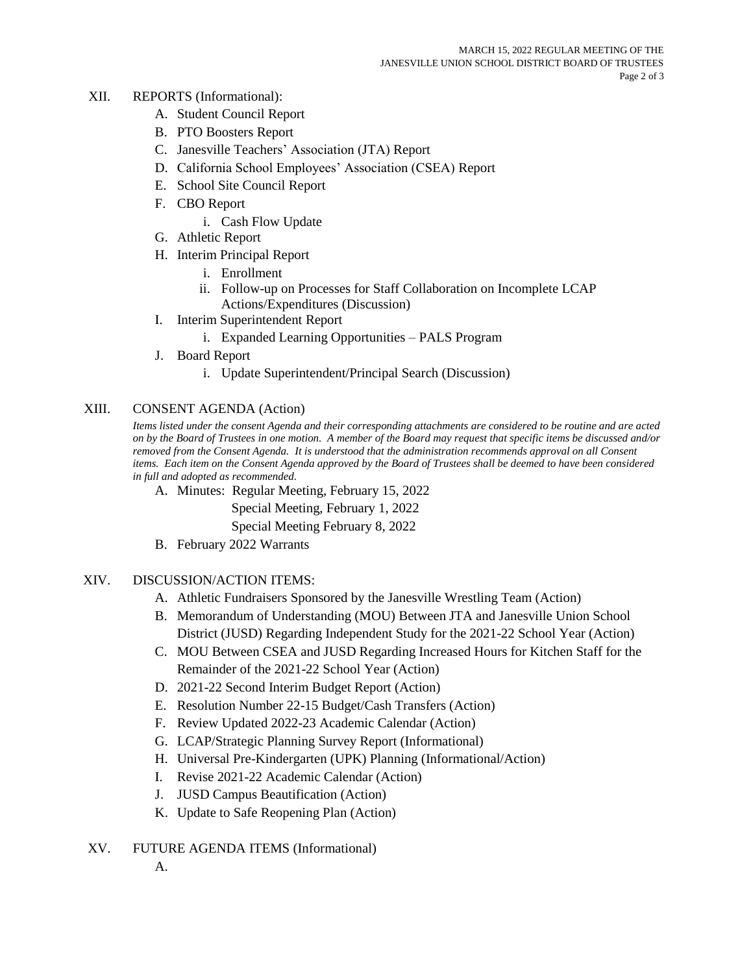- XII. REPORTS (Informational):
	- A. Student Council Report
	- B. PTO Boosters Report
	- C. Janesville Teachers' Association (JTA) Report
	- D. California School Employees' Association (CSEA) Report
	- E. School Site Council Report
	- F. CBO Report
		- i. Cash Flow Update
	- G. Athletic Report
	- H. Interim Principal Report
		- i. Enrollment
		- ii. Follow-up on Processes for Staff Collaboration on Incomplete LCAP Actions/Expenditures (Discussion)
	- I. Interim Superintendent Report
		- i. Expanded Learning Opportunities PALS Program
	- J. Board Report
		- i. Update Superintendent/Principal Search (Discussion)

## XIII. CONSENT AGENDA (Action)

*Items listed under the consent Agenda and their corresponding attachments are considered to be routine and are acted on by the Board of Trustees in one motion. A member of the Board may request that specific items be discussed and/or removed from the Consent Agenda. It is understood that the administration recommends approval on all Consent items. Each item on the Consent Agenda approved by the Board of Trustees shall be deemed to have been considered in full and adopted as recommended.*

A. Minutes: Regular Meeting, February 15, 2022

Special Meeting, February 1, 2022

Special Meeting February 8, 2022

B. February 2022 Warrants

# XIV. DISCUSSION/ACTION ITEMS:

- A. Athletic Fundraisers Sponsored by the Janesville Wrestling Team (Action)
- B. Memorandum of Understanding (MOU) Between JTA and Janesville Union School District (JUSD) Regarding Independent Study for the 2021-22 School Year (Action)
- C. MOU Between CSEA and JUSD Regarding Increased Hours for Kitchen Staff for the Remainder of the 2021-22 School Year (Action)
- D. 2021-22 Second Interim Budget Report (Action)
- E. Resolution Number 22-15 Budget/Cash Transfers (Action)
- F. Review Updated 2022-23 Academic Calendar (Action)
- G. LCAP/Strategic Planning Survey Report (Informational)
- H. Universal Pre-Kindergarten (UPK) Planning (Informational/Action)
- I. Revise 2021-22 Academic Calendar (Action)
- J. JUSD Campus Beautification (Action)
- K. Update to Safe Reopening Plan (Action)
- XV. FUTURE AGENDA ITEMS (Informational)
	- A.